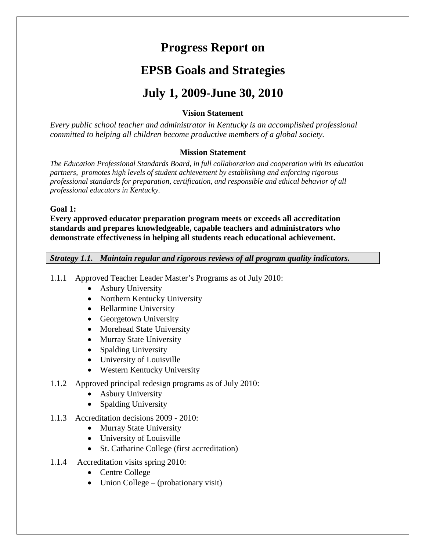# **Progress Report on**

# **EPSB Goals and Strategies**

# **July 1, 2009-June 30, 2010**

# **Vision Statement**

*Every public school teacher and administrator in Kentucky is an accomplished professional committed to helping all children become productive members of a global society.* 

#### **Mission Statement**

*The Education Professional Standards Board, in full collaboration and cooperation with its education partners, promotes high levels of student achievement by establishing and enforcing rigorous professional standards for preparation, certification, and responsible and ethical behavior of all professional educators in Kentucky.* 

#### **Goal 1:**

**Every approved educator preparation program meets or exceeds all accreditation standards and prepares knowledgeable, capable teachers and administrators who demonstrate effectiveness in helping all students reach educational achievement.**

*Strategy 1.1. Maintain regular and rigorous reviews of all program quality indicators.*

- 1.1.1 Approved Teacher Leader Master's Programs as of July 2010:
	- Asbury University
	- Northern Kentucky University
	- Bellarmine University
	- Georgetown University
	- Morehead State University
	- Murray State University
	- Spalding University
	- University of Louisville
	- Western Kentucky University
- 1.1.2 Approved principal redesign programs as of July 2010:
	- Asbury University
	- Spalding University
- 1.1.3 Accreditation decisions 2009 2010:
	- Murray State University
	- University of Louisville
	- St. Catharine College (first accreditation)
- 1.1.4 Accreditation visits spring 2010:
	- Centre College
	- Union College (probationary visit)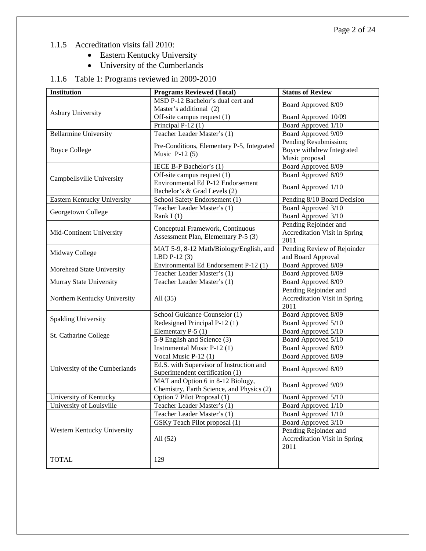- 1.1.5 Accreditation visits fall 2010:
	- Eastern Kentucky University
	- University of the Cumberlands

# 1.1.6 Table 1: Programs reviewed in 2009-2010

| <b>Institution</b>            | <b>Programs Reviewed (Total)</b>           | <b>Status of Review</b>              |
|-------------------------------|--------------------------------------------|--------------------------------------|
|                               | MSD P-12 Bachelor's dual cert and          | Board Approved 8/09                  |
| <b>Asbury University</b>      | Master's additional (2)                    |                                      |
|                               | Off-site campus request $(1)$              | Board Approved 10/09                 |
|                               | Principal P-12 (1)                         | Board Approved 1/10                  |
| <b>Bellarmine University</b>  | Teacher Leader Master's (1)                | Board Approved 9/09                  |
|                               | Pre-Conditions, Elementary P-5, Integrated | Pending Resubmission;                |
| <b>Boyce College</b>          | Music $P-12(5)$                            | Boyce withdrew Integrated            |
|                               |                                            | Music proposal                       |
|                               | IECE B-P Bachelor's (1)                    | Board Approved 8/09                  |
| Campbellsville University     | Off-site campus request $(1)$              | Board Approved 8/09                  |
|                               | Environmental Ed P-12 Endorsement          | Board Approved 1/10                  |
|                               | Bachelor's & Grad Levels (2)               |                                      |
| Eastern Kentucky University   | School Safety Endorsement (1)              | Pending 8/10 Board Decision          |
| Georgetown College            | Teacher Leader Master's (1)                | Board Approved 3/10                  |
|                               | Rank $I(1)$                                | Board Approved 3/10                  |
|                               | Conceptual Framework, Continuous           | Pending Rejoinder and                |
| Mid-Continent University      | Assessment Plan, Elementary P-5 (3)        | <b>Accreditation Visit in Spring</b> |
|                               |                                            | 2011                                 |
| Midway College                | MAT 5-9, 8-12 Math/Biology/English, and    | Pending Review of Rejoinder          |
|                               | LBD $P-12(3)$                              | and Board Approval                   |
| Morehead State University     | Environmental Ed Endorsement P-12 (1)      | Board Approved 8/09                  |
|                               | Teacher Leader Master's (1)                | Board Approved 8/09                  |
| Murray State University       | Teacher Leader Master's (1)                | Board Approved 8/09                  |
|                               |                                            | Pending Rejoinder and                |
| Northern Kentucky University  | All $(35)$                                 | <b>Accreditation Visit in Spring</b> |
|                               |                                            | 2011                                 |
| <b>Spalding University</b>    | School Guidance Counselor (1)              | Board Approved 8/09                  |
|                               | Redesigned Principal P-12 (1)              | Board Approved 5/10                  |
| St. Catharine College         | Elementary P-5 $(1)$                       | Board Approved 5/10                  |
|                               | 5-9 English and Science (3)                | Board Approved 5/10                  |
|                               | Instrumental Music P-12 (1)                | Board Approved 8/09                  |
|                               | Vocal Music P-12 (1)                       | Board Approved 8/09                  |
| University of the Cumberlands | Ed.S. with Supervisor of Instruction and   | Board Approved 8/09                  |
|                               | Superintendent certification (1)           |                                      |
|                               | MAT and Option 6 in 8-12 Biology,          | Board Approved 9/09                  |
|                               | Chemistry, Earth Science, and Physics (2)  |                                      |
| University of Kentucky        | Option 7 Pilot Proposal (1)                | Board Approved 5/10                  |
| University of Louisville      | Teacher Leader Master's (1)                | Board Approved 1/10                  |
|                               | Teacher Leader Master's (1)                | Board Approved 1/10                  |
|                               | GSKy Teach Pilot proposal (1)              | Board Approved 3/10                  |
| Western Kentucky University   |                                            | Pending Rejoinder and                |
|                               | All $(52)$                                 | <b>Accreditation Visit in Spring</b> |
|                               |                                            | 2011                                 |
| <b>TOTAL</b>                  | 129                                        |                                      |
|                               |                                            |                                      |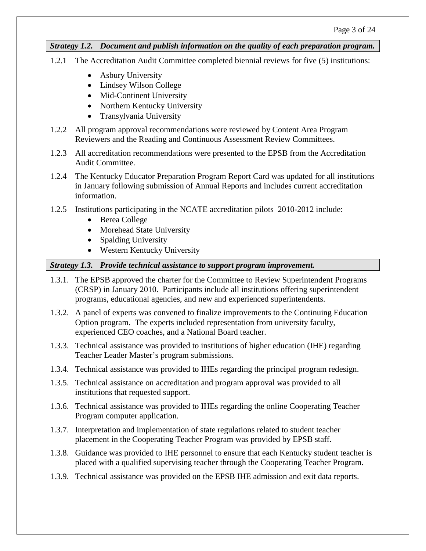*Strategy 1.2. Document and publish information on the quality of each preparation program.*

- 1.2.1 The Accreditation Audit Committee completed biennial reviews for five (5) institutions:
	- Asbury University
	- Lindsey Wilson College
	- Mid-Continent University
	- Northern Kentucky University
	- Transylvania University
- 1.2.2 All program approval recommendations were reviewed by Content Area Program Reviewers and the Reading and Continuous Assessment Review Committees.
- 1.2.3 All accreditation recommendations were presented to the EPSB from the Accreditation Audit Committee.
- 1.2.4 The Kentucky Educator Preparation Program Report Card was updated for all institutions in January following submission of Annual Reports and includes current accreditation information.
- 1.2.5 Institutions participating in the NCATE accreditation pilots 2010-2012 include:
	- Berea College
	- Morehead State University
	- Spalding University
	- Western Kentucky University

#### *Strategy 1.3. Provide technical assistance to support program improvement.*

- 1.3.1. The EPSB approved the charter for the Committee to Review Superintendent Programs (CRSP) in January 2010. Participants include all institutions offering superintendent programs, educational agencies, and new and experienced superintendents.
- 1.3.2. A panel of experts was convened to finalize improvements to the Continuing Education Option program. The experts included representation from university faculty, experienced CEO coaches, and a National Board teacher.
- 1.3.3. Technical assistance was provided to institutions of higher education (IHE) regarding Teacher Leader Master's program submissions.
- 1.3.4. Technical assistance was provided to IHEs regarding the principal program redesign.
- 1.3.5. Technical assistance on accreditation and program approval was provided to all institutions that requested support.
- 1.3.6. Technical assistance was provided to IHEs regarding the online Cooperating Teacher Program computer application.
- 1.3.7. Interpretation and implementation of state regulations related to student teacher placement in the Cooperating Teacher Program was provided by EPSB staff.
- 1.3.8. Guidance was provided to IHE personnel to ensure that each Kentucky student teacher is placed with a qualified supervising teacher through the Cooperating Teacher Program.
- 1.3.9. Technical assistance was provided on the EPSB IHE admission and exit data reports.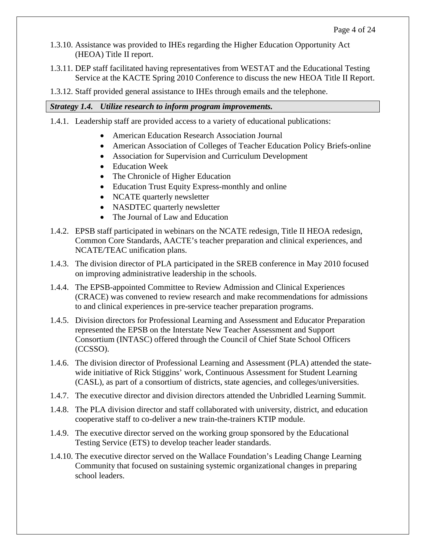- 1.3.10. Assistance was provided to IHEs regarding the Higher Education Opportunity Act (HEOA) Title II report.
- 1.3.11. DEP staff facilitated having representatives from WESTAT and the Educational Testing Service at the KACTE Spring 2010 Conference to discuss the new HEOA Title II Report.
- 1.3.12. Staff provided general assistance to IHEs through emails and the telephone.

#### *Strategy 1.4. Utilize research to inform program improvements.*

- 1.4.1. Leadership staff are provided access to a variety of educational publications:
	- American Education Research Association Journal
	- American Association of Colleges of Teacher Education Policy Briefs-online
	- Association for Supervision and Curriculum Development
	- Education Week
	- The Chronicle of Higher Education
	- Education Trust Equity Express-monthly and online
	- NCATE quarterly newsletter
	- NASDTEC quarterly newsletter
	- The Journal of Law and Education
- 1.4.2. EPSB staff participated in webinars on the NCATE redesign, Title II HEOA redesign, Common Core Standards, AACTE's teacher preparation and clinical experiences, and NCATE/TEAC unification plans.
- 1.4.3. The division director of PLA participated in the SREB conference in May 2010 focused on improving administrative leadership in the schools.
- 1.4.4. The EPSB-appointed Committee to Review Admission and Clinical Experiences (CRACE) was convened to review research and make recommendations for admissions to and clinical experiences in pre-service teacher preparation programs.
- 1.4.5. Division directors for Professional Learning and Assessment and Educator Preparation represented the EPSB on the Interstate New Teacher Assessment and Support Consortium (INTASC) offered through the Council of Chief State School Officers (CCSSO).
- 1.4.6. The division director of Professional Learning and Assessment (PLA) attended the statewide initiative of Rick Stiggins' work, Continuous Assessment for Student Learning (CASL), as part of a consortium of districts, state agencies, and colleges/universities.
- 1.4.7. The executive director and division directors attended the Unbridled Learning Summit.
- 1.4.8. The PLA division director and staff collaborated with university, district, and education cooperative staff to co-deliver a new train-the-trainers KTIP module.
- 1.4.9. The executive director served on the working group sponsored by the Educational Testing Service (ETS) to develop teacher leader standards.
- 1.4.10. The executive director served on the Wallace Foundation's Leading Change Learning Community that focused on sustaining systemic organizational changes in preparing school leaders.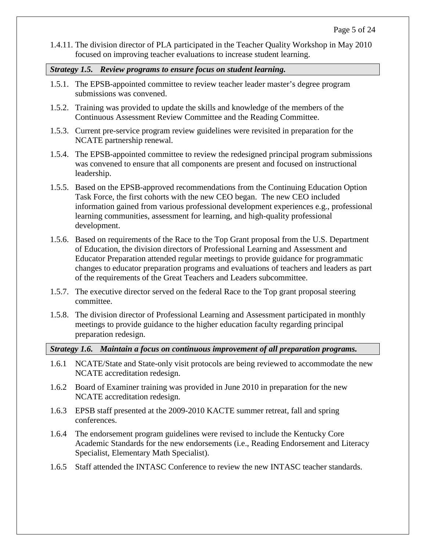1.4.11. The division director of PLA participated in the Teacher Quality Workshop in May 2010 focused on improving teacher evaluations to increase student learning.

*Strategy 1.5. Review programs to ensure focus on student learning.*

- 1.5.1. The EPSB-appointed committee to review teacher leader master's degree program submissions was convened.
- 1.5.2. Training was provided to update the skills and knowledge of the members of the Continuous Assessment Review Committee and the Reading Committee.
- 1.5.3. Current pre-service program review guidelines were revisited in preparation for the NCATE partnership renewal.
- 1.5.4. The EPSB-appointed committee to review the redesigned principal program submissions was convened to ensure that all components are present and focused on instructional leadership.
- 1.5.5. Based on the EPSB-approved recommendations from the Continuing Education Option Task Force, the first cohorts with the new CEO began. The new CEO included information gained from various professional development experiences e.g., professional learning communities, assessment for learning, and high-quality professional development.
- 1.5.6. Based on requirements of the Race to the Top Grant proposal from the U.S. Department of Education, the division directors of Professional Learning and Assessment and Educator Preparation attended regular meetings to provide guidance for programmatic changes to educator preparation programs and evaluations of teachers and leaders as part of the requirements of the Great Teachers and Leaders subcommittee.
- 1.5.7. The executive director served on the federal Race to the Top grant proposal steering committee.
- 1.5.8. The division director of Professional Learning and Assessment participated in monthly meetings to provide guidance to the higher education faculty regarding principal preparation redesign.

#### *Strategy 1.6. Maintain a focus on continuous improvement of all preparation programs.*

- 1.6.1 NCATE/State and State-only visit protocols are being reviewed to accommodate the new NCATE accreditation redesign.
- 1.6.2 Board of Examiner training was provided in June 2010 in preparation for the new NCATE accreditation redesign.
- 1.6.3 EPSB staff presented at the 2009-2010 KACTE summer retreat, fall and spring conferences.
- 1.6.4 The endorsement program guidelines were revised to include the Kentucky Core Academic Standards for the new endorsements (i.e., Reading Endorsement and Literacy Specialist, Elementary Math Specialist).
- 1.6.5 Staff attended the INTASC Conference to review the new INTASC teacher standards.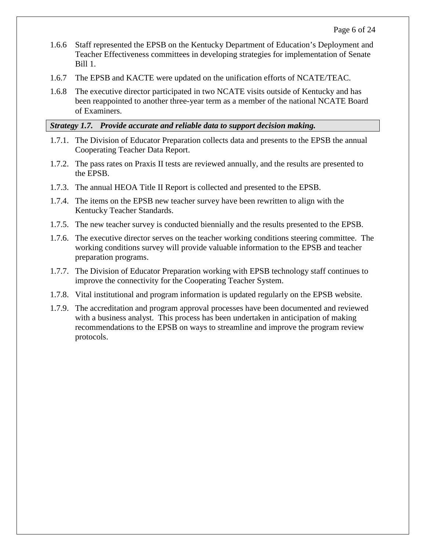- 1.6.6 Staff represented the EPSB on the Kentucky Department of Education's Deployment and Teacher Effectiveness committees in developing strategies for implementation of Senate Bill 1.
- 1.6.7 The EPSB and KACTE were updated on the unification efforts of NCATE/TEAC.
- 1.6.8 The executive director participated in two NCATE visits outside of Kentucky and has been reappointed to another three-year term as a member of the national NCATE Board of Examiners.

#### *Strategy 1.7. Provide accurate and reliable data to support decision making.*

- 1.7.1. The Division of Educator Preparation collects data and presents to the EPSB the annual Cooperating Teacher Data Report.
- 1.7.2. The pass rates on Praxis II tests are reviewed annually, and the results are presented to the EPSB.
- 1.7.3. The annual HEOA Title II Report is collected and presented to the EPSB.
- 1.7.4. The items on the EPSB new teacher survey have been rewritten to align with the Kentucky Teacher Standards.
- 1.7.5. The new teacher survey is conducted biennially and the results presented to the EPSB.
- 1.7.6. The executive director serves on the teacher working conditions steering committee. The working conditions survey will provide valuable information to the EPSB and teacher preparation programs.
- 1.7.7. The Division of Educator Preparation working with EPSB technology staff continues to improve the connectivity for the Cooperating Teacher System.
- 1.7.8. Vital institutional and program information is updated regularly on the EPSB website.
- 1.7.9. The accreditation and program approval processes have been documented and reviewed with a business analyst. This process has been undertaken in anticipation of making recommendations to the EPSB on ways to streamline and improve the program review protocols.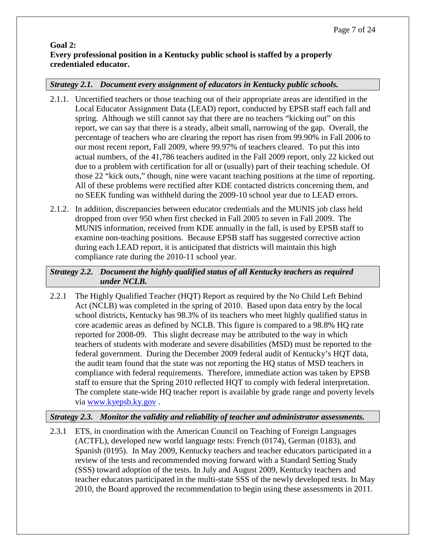#### **Goal 2: Every professional position in a Kentucky public school is staffed by a properly credentialed educator.**

# *Strategy 2.1. Document every assignment of educators in Kentucky public schools.*

- 2.1.1. Uncertified teachers or those teaching out of their appropriate areas are identified in the Local Educator Assignment Data (LEAD) report, conducted by EPSB staff each fall and spring. Although we still cannot say that there are no teachers "kicking out" on this report, we can say that there is a steady, albeit small, narrowing of the gap. Overall, the percentage of teachers who are clearing the report has risen from 99.90% in Fall 2006 to our most recent report, Fall 2009, where 99.97% of teachers cleared. To put this into actual numbers, of the 41,786 teachers audited in the Fall 2009 report, only 22 kicked out due to a problem with certification for all or (usually) part of their teaching schedule. Of those 22 "kick outs," though, nine were vacant teaching positions at the time of reporting. All of these problems were rectified after KDE contacted districts concerning them, and no SEEK funding was withheld during the 2009-10 school year due to LEAD errors.
- 2.1.2. In addition, discrepancies between educator credentials and the MUNIS job class held dropped from over 950 when first checked in Fall 2005 to seven in Fall 2009. The MUNIS information, received from KDE annually in the fall, is used by EPSB staff to examine non-teaching positions. Because EPSB staff has suggested corrective action during each LEAD report, it is anticipated that districts will maintain this high compliance rate during the 2010-11 school year.

# *Strategy 2.2. Document the highly qualified status of all Kentucky teachers as required under NCLB.*

2.2.1 The Highly Qualified Teacher (HQT) Report as required by the No Child Left Behind Act (NCLB) was completed in the spring of 2010. Based upon data entry by the local school districts, Kentucky has 98.3% of its teachers who meet highly qualified status in core academic areas as defined by NCLB. This figure is compared to a 98.8% HQ rate reported for 2008-09. This slight decrease may be attributed to the way in which teachers of students with moderate and severe disabilities (MSD) must be reported to the federal government. During the December 2009 federal audit of Kentucky's HQT data, the audit team found that the state was not reporting the HQ status of MSD teachers in compliance with federal requirements. Therefore, immediate action was taken by EPSB staff to ensure that the Spring 2010 reflected HQT to comply with federal interpretation. The complete state-wide HQ teacher report is available by grade range and poverty levels via [www.kyepsb.ky.gov](http://www.kyepsb.ky.gov/) .

#### *Strategy 2.3. Monitor the validity and reliability of teacher and administrator assessments.*

2.3.1 ETS, in coordination with the American Council on Teaching of Foreign Languages (ACTFL), developed new world language tests: French (0174), German (0183), and Spanish (0195). In May 2009, Kentucky teachers and teacher educators participated in a review of the tests and recommended moving forward with a Standard Setting Study (SSS) toward adoption of the tests. In July and August 2009, Kentucky teachers and teacher educators participated in the multi-state SSS of the newly developed tests. In May 2010, the Board approved the recommendation to begin using these assessments in 2011.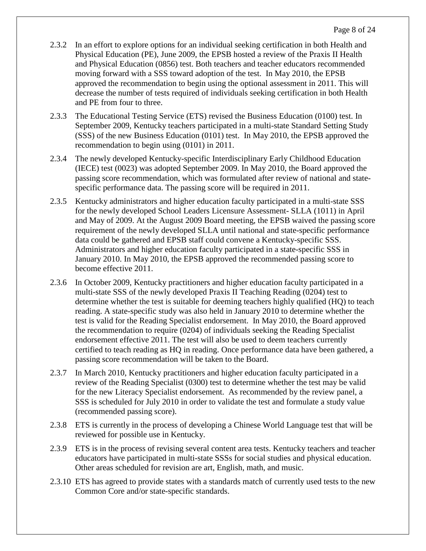- 2.3.2 In an effort to explore options for an individual seeking certification in both Health and Physical Education (PE), June 2009, the EPSB hosted a review of the Praxis II Health and Physical Education (0856) test. Both teachers and teacher educators recommended moving forward with a SSS toward adoption of the test. In May 2010, the EPSB approved the recommendation to begin using the optional assessment in 2011. This will decrease the number of tests required of individuals seeking certification in both Health and PE from four to three.
- 2.3.3 The Educational Testing Service (ETS) revised the Business Education (0100) test. In September 2009, Kentucky teachers participated in a multi-state Standard Setting Study (SSS) of the new Business Education (0101) test. In May 2010, the EPSB approved the recommendation to begin using (0101) in 2011.
- 2.3.4 The newly developed Kentucky-specific Interdisciplinary Early Childhood Education (IECE) test (0023) was adopted September 2009. In May 2010, the Board approved the passing score recommendation, which was formulated after review of national and statespecific performance data. The passing score will be required in 2011.
- 2.3.5 Kentucky administrators and higher education faculty participated in a multi-state SSS for the newly developed School Leaders Licensure Assessment- SLLA (1011) in April and May of 2009. At the August 2009 Board meeting, the EPSB waived the passing score requirement of the newly developed SLLA until national and state-specific performance data could be gathered and EPSB staff could convene a Kentucky-specific SSS. Administrators and higher education faculty participated in a state-specific SSS in January 2010. In May 2010, the EPSB approved the recommended passing score to become effective 2011.
- 2.3.6 In October 2009, Kentucky practitioners and higher education faculty participated in a multi-state SSS of the newly developed Praxis II Teaching Reading (0204) test to determine whether the test is suitable for deeming teachers highly qualified (HQ) to teach reading. A state-specific study was also held in January 2010 to determine whether the test is valid for the Reading Specialist endorsement. In May 2010, the Board approved the recommendation to require (0204) of individuals seeking the Reading Specialist endorsement effective 2011. The test will also be used to deem teachers currently certified to teach reading as HQ in reading. Once performance data have been gathered, a passing score recommendation will be taken to the Board.
- 2.3.7 In March 2010, Kentucky practitioners and higher education faculty participated in a review of the Reading Specialist (0300) test to determine whether the test may be valid for the new Literacy Specialist endorsement. As recommended by the review panel, a SSS is scheduled for July 2010 in order to validate the test and formulate a study value (recommended passing score).
- 2.3.8 ETS is currently in the process of developing a Chinese World Language test that will be reviewed for possible use in Kentucky.
- 2.3.9 ETS is in the process of revising several content area tests. Kentucky teachers and teacher educators have participated in multi-state SSSs for social studies and physical education. Other areas scheduled for revision are art, English, math, and music.
- 2.3.10 ETS has agreed to provide states with a standards match of currently used tests to the new Common Core and/or state-specific standards.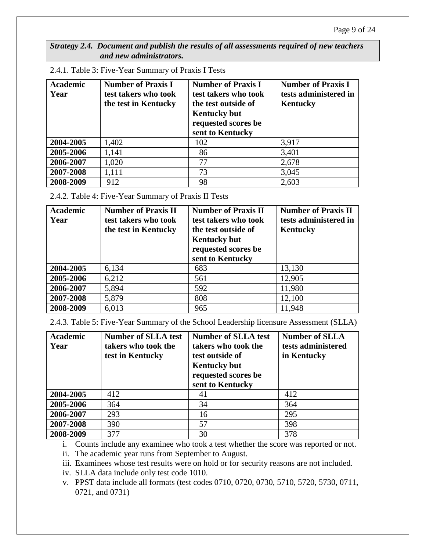*Strategy 2.4. Document and publish the results of all assessments required of new teachers and new administrators.*

| <b>Academic</b><br>Year | <b>Number of Praxis I</b><br>test takers who took<br>the test in Kentucky | <b>Number of Praxis I</b><br>test takers who took<br>the test outside of<br><b>Kentucky but</b><br>requested scores be<br>sent to Kentucky | <b>Number of Praxis I</b><br>tests administered in<br><b>Kentucky</b> |
|-------------------------|---------------------------------------------------------------------------|--------------------------------------------------------------------------------------------------------------------------------------------|-----------------------------------------------------------------------|
| 2004-2005               | 1,402                                                                     | 102                                                                                                                                        | 3,917                                                                 |
| 2005-2006               | 1,141                                                                     | 86                                                                                                                                         | 3,401                                                                 |
| 2006-2007               | 1,020                                                                     | 77                                                                                                                                         | 2,678                                                                 |
| 2007-2008               | 1,111                                                                     | 73                                                                                                                                         | 3,045                                                                 |
| 2008-2009               | 912                                                                       | 98                                                                                                                                         | 2,603                                                                 |

2.4.1. Table 3: Five-Year Summary of Praxis I Tests

2.4.2. Table 4: Five-Year Summary of Praxis II Tests

| <b>Academic</b><br>Year | <b>Number of Praxis II</b><br>test takers who took<br>the test in Kentucky | <b>Number of Praxis II</b><br>test takers who took<br>the test outside of<br><b>Kentucky but</b><br>requested scores be<br>sent to Kentucky | <b>Number of Praxis II</b><br>tests administered in<br>Kentucky |
|-------------------------|----------------------------------------------------------------------------|---------------------------------------------------------------------------------------------------------------------------------------------|-----------------------------------------------------------------|
| 2004-2005               | 6,134                                                                      | 683                                                                                                                                         | 13,130                                                          |
| 2005-2006               | 6,212                                                                      | 561                                                                                                                                         | 12,905                                                          |
| 2006-2007               | 5,894                                                                      | 592                                                                                                                                         | 11,980                                                          |
| 2007-2008               | 5,879                                                                      | 808                                                                                                                                         | 12,100                                                          |
| 2008-2009               | 6,013                                                                      | 965                                                                                                                                         | 11,948                                                          |

2.4.3. Table 5: Five-Year Summary of the School Leadership licensure Assessment (SLLA)

| <b>Academic</b><br>Year | <b>Number of SLLA test</b><br>takers who took the<br>test in Kentucky | <b>Number of SLLA test</b><br>takers who took the<br>test outside of<br><b>Kentucky but</b><br>requested scores be<br>sent to Kentucky | <b>Number of SLLA</b><br>tests administered<br>in Kentucky |
|-------------------------|-----------------------------------------------------------------------|----------------------------------------------------------------------------------------------------------------------------------------|------------------------------------------------------------|
| 2004-2005               | 412                                                                   | 41                                                                                                                                     | 412                                                        |
| 2005-2006               | 364                                                                   | 34                                                                                                                                     | 364                                                        |
| 2006-2007               | 293                                                                   | 16                                                                                                                                     | 295                                                        |
| 2007-2008               | 390                                                                   | 57                                                                                                                                     | 398                                                        |
| 2008-2009               | 377                                                                   | 30                                                                                                                                     | 378                                                        |

i. Counts include any examinee who took a test whether the score was reported or not.

ii. The academic year runs from September to August.

iii. Examinees whose test results were on hold or for security reasons are not included.

iv. SLLA data include only test code 1010.

v. PPST data include all formats (test codes 0710, 0720, 0730, 5710, 5720, 5730, 0711, 0721, and 0731)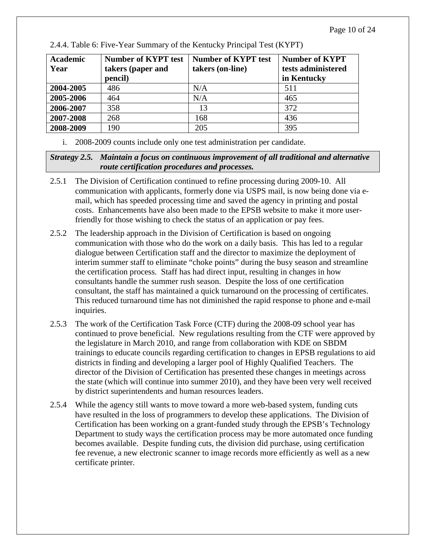| <b>Academic</b><br>Year | <b>Number of KYPT test</b><br>takers (paper and<br>pencil) | <b>Number of KYPT test</b><br>takers (on-line) | <b>Number of KYPT</b><br>tests administered<br>in Kentucky |
|-------------------------|------------------------------------------------------------|------------------------------------------------|------------------------------------------------------------|
| 2004-2005               | 486                                                        | N/A                                            | 511                                                        |
| 2005-2006               | 464                                                        | N/A                                            | 465                                                        |
| 2006-2007               | 358                                                        | 13                                             | 372                                                        |
| 2007-2008               | 268                                                        | 168                                            | 436                                                        |
| 2008-2009               | 190                                                        | 205                                            | 395                                                        |

2.4.4. Table 6: Five-Year Summary of the Kentucky Principal Test (KYPT)

i. 2008-2009 counts include only one test administration per candidate.

# *Strategy 2.5. Maintain a focus on continuous improvement of all traditional and alternative route certification procedures and processes.*

- 2.5.1 The Division of Certification continued to refine processing during 2009-10. All communication with applicants, formerly done via USPS mail, is now being done via email, which has speeded processing time and saved the agency in printing and postal costs. Enhancements have also been made to the EPSB website to make it more userfriendly for those wishing to check the status of an application or pay fees.
- 2.5.2 The leadership approach in the Division of Certification is based on ongoing communication with those who do the work on a daily basis. This has led to a regular dialogue between Certification staff and the director to maximize the deployment of interim summer staff to eliminate "choke points" during the busy season and streamline the certification process. Staff has had direct input, resulting in changes in how consultants handle the summer rush season. Despite the loss of one certification consultant, the staff has maintained a quick turnaround on the processing of certificates. This reduced turnaround time has not diminished the rapid response to phone and e-mail inquiries.
- 2.5.3 The work of the Certification Task Force (CTF) during the 2008-09 school year has continued to prove beneficial. New regulations resulting from the CTF were approved by the legislature in March 2010, and range from collaboration with KDE on SBDM trainings to educate councils regarding certification to changes in EPSB regulations to aid districts in finding and developing a larger pool of Highly Qualified Teachers. The director of the Division of Certification has presented these changes in meetings across the state (which will continue into summer 2010), and they have been very well received by district superintendents and human resources leaders.
- 2.5.4 While the agency still wants to move toward a more web-based system, funding cuts have resulted in the loss of programmers to develop these applications. The Division of Certification has been working on a grant-funded study through the EPSB's Technology Department to study ways the certification process may be more automated once funding becomes available. Despite funding cuts, the division did purchase, using certification fee revenue, a new electronic scanner to image records more efficiently as well as a new certificate printer.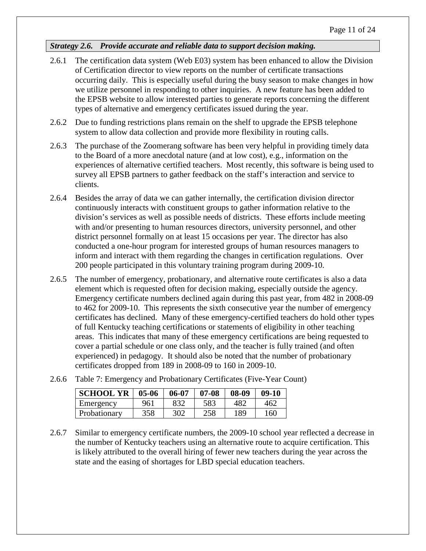# *Strategy 2.6. Provide accurate and reliable data to support decision making.*

- 2.6.1 The certification data system (Web E03) system has been enhanced to allow the Division of Certification director to view reports on the number of certificate transactions occurring daily. This is especially useful during the busy season to make changes in how we utilize personnel in responding to other inquiries. A new feature has been added to the EPSB website to allow interested parties to generate reports concerning the different types of alternative and emergency certificates issued during the year.
- 2.6.2 Due to funding restrictions plans remain on the shelf to upgrade the EPSB telephone system to allow data collection and provide more flexibility in routing calls.
- 2.6.3 The purchase of the Zoomerang software has been very helpful in providing timely data to the Board of a more anecdotal nature (and at low cost), e.g., information on the experiences of alternative certified teachers. Most recently, this software is being used to survey all EPSB partners to gather feedback on the staff's interaction and service to clients.
- 2.6.4 Besides the array of data we can gather internally, the certification division director continuously interacts with constituent groups to gather information relative to the division's services as well as possible needs of districts. These efforts include meeting with and/or presenting to human resources directors, university personnel, and other district personnel formally on at least 15 occasions per year. The director has also conducted a one-hour program for interested groups of human resources managers to inform and interact with them regarding the changes in certification regulations. Over 200 people participated in this voluntary training program during 2009-10.
- 2.6.5 The number of emergency, probationary, and alternative route certificates is also a data element which is requested often for decision making, especially outside the agency. Emergency certificate numbers declined again during this past year, from 482 in 2008-09 to 462 for 2009-10. This represents the sixth consecutive year the number of emergency certificates has declined. Many of these emergency-certified teachers do hold other types of full Kentucky teaching certifications or statements of eligibility in other teaching areas. This indicates that many of these emergency certifications are being requested to cover a partial schedule or one class only, and the teacher is fully trained (and often experienced) in pedagogy. It should also be noted that the number of probationary certificates dropped from 189 in 2008-09 to 160 in 2009-10.

| <b>SCHOOL YR</b> | $05 - 06$ | $06 - 07$ | $07 - 08$ | $08-09$ | $09-10$ |
|------------------|-----------|-----------|-----------|---------|---------|
| Emergency        | 961       | 832       | 583       | 482     | 462     |
| Probationary     | 358       | 302       | 258       | 189     | 160     |

- 2.6.6 Table 7: Emergency and Probationary Certificates (Five-Year Count)
- 2.6.7 Similar to emergency certificate numbers, the 2009-10 school year reflected a decrease in the number of Kentucky teachers using an alternative route to acquire certification. This is likely attributed to the overall hiring of fewer new teachers during the year across the state and the easing of shortages for LBD special education teachers.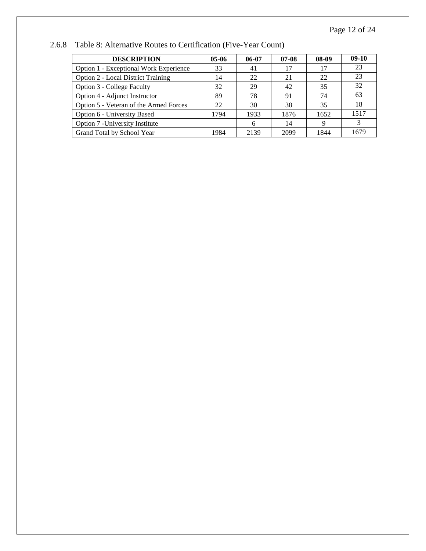| <b>DESCRIPTION</b>                        | $05-06$ | 06-07 | $07-08$ | 08-09 | $09-10$ |
|-------------------------------------------|---------|-------|---------|-------|---------|
| Option 1 - Exceptional Work Experience    | 33      | 41    | 17      | 17    | 23      |
| <b>Option 2 - Local District Training</b> | 14      | 22    | 21      | 22    | 23      |
| <b>Option 3 - College Faculty</b>         | 32      | 29    | 42      | 35    | 32      |
| Option 4 - Adjunct Instructor             | 89      | 78    | 91      | 74    | 63      |
| Option 5 - Veteran of the Armed Forces    | 22      | 30    | 38      | 35    | 18      |
| Option 6 - University Based               | 1794    | 1933  | 1876    | 1652  | 1517    |
| Option 7 - University Institute           |         | 6     | 14      | 9     | 3       |
| Grand Total by School Year                | 1984    | 2139  | 2099    | 1844  | 1679    |

2.6.8 Table 8: Alternative Routes to Certification (Five-Year Count)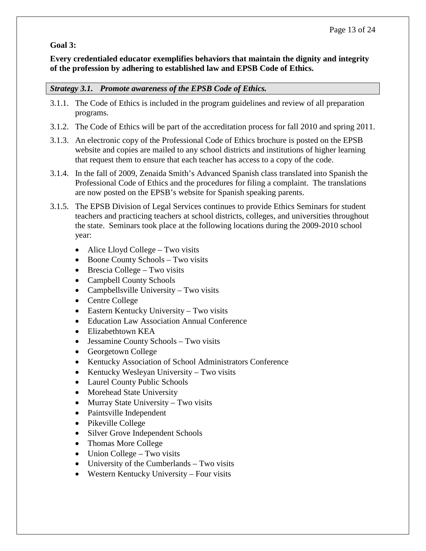# **Goal 3:**

#### **Every credentialed educator exemplifies behaviors that maintain the dignity and integrity of the profession by adhering to established law and EPSB Code of Ethics.**

#### *Strategy 3.1. Promote awareness of the EPSB Code of Ethics.*

- 3.1.1. The Code of Ethics is included in the program guidelines and review of all preparation programs.
- 3.1.2. The Code of Ethics will be part of the accreditation process for fall 2010 and spring 2011.
- 3.1.3. An electronic copy of the Professional Code of Ethics brochure is posted on the EPSB website and copies are mailed to any school districts and institutions of higher learning that request them to ensure that each teacher has access to a copy of the code.
- 3.1.4. In the fall of 2009, Zenaida Smith's Advanced Spanish class translated into Spanish the Professional Code of Ethics and the procedures for filing a complaint. The translations are now posted on the EPSB's website for Spanish speaking parents.
- 3.1.5. The EPSB Division of Legal Services continues to provide Ethics Seminars for student teachers and practicing teachers at school districts, colleges, and universities throughout the state. Seminars took place at the following locations during the 2009-2010 school year:
	- Alice Lloyd College Two visits
	- Boone County Schools Two visits
	- Brescia College Two visits
	- Campbell County Schools
	- Campbellsville University Two visits
	- Centre College
	- Eastern Kentucky University Two visits
	- Education Law Association Annual Conference
	- Elizabethtown KEA
	- Jessamine County Schools Two visits
	- Georgetown College
	- Kentucky Association of School Administrators Conference
	- Kentucky Wesleyan University Two visits
	- Laurel County Public Schools
	- Morehead State University
	- Murray State University Two visits
	- Paintsville Independent
	- Pikeville College
	- Silver Grove Independent Schools
	- Thomas More College
	- Union College Two visits
	- University of the Cumberlands Two visits
	- Western Kentucky University Four visits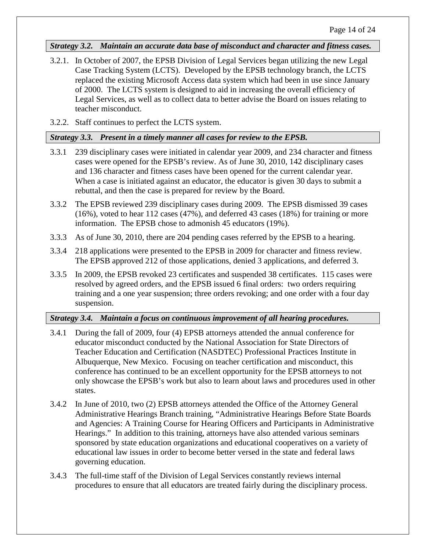#### *Strategy 3.2. Maintain an accurate data base of misconduct and character and fitness cases.*

- 3.2.1. In October of 2007, the EPSB Division of Legal Services began utilizing the new Legal Case Tracking System (LCTS). Developed by the EPSB technology branch, the LCTS replaced the existing Microsoft Access data system which had been in use since January of 2000. The LCTS system is designed to aid in increasing the overall efficiency of Legal Services, as well as to collect data to better advise the Board on issues relating to teacher misconduct.
- 3.2.2. Staff continues to perfect the LCTS system.

#### *Strategy 3.3. Present in a timely manner all cases for review to the EPSB.*

- 3.3.1 239 disciplinary cases were initiated in calendar year 2009, and 234 character and fitness cases were opened for the EPSB's review. As of June 30, 2010, 142 disciplinary cases and 136 character and fitness cases have been opened for the current calendar year. When a case is initiated against an educator, the educator is given 30 days to submit a rebuttal, and then the case is prepared for review by the Board.
- 3.3.2 The EPSB reviewed 239 disciplinary cases during 2009. The EPSB dismissed 39 cases (16%), voted to hear 112 cases (47%), and deferred 43 cases (18%) for training or more information. The EPSB chose to admonish 45 educators (19%).
- 3.3.3 As of June 30, 2010, there are 204 pending cases referred by the EPSB to a hearing.
- 3.3.4 218 applications were presented to the EPSB in 2009 for character and fitness review. The EPSB approved 212 of those applications, denied 3 applications, and deferred 3.
- 3.3.5 In 2009, the EPSB revoked 23 certificates and suspended 38 certificates. 115 cases were resolved by agreed orders, and the EPSB issued 6 final orders: two orders requiring training and a one year suspension; three orders revoking; and one order with a four day suspension.

# *Strategy 3.4. Maintain a focus on continuous improvement of all hearing procedures.*

- 3.4.1 During the fall of 2009, four (4) EPSB attorneys attended the annual conference for educator misconduct conducted by the National Association for State Directors of Teacher Education and Certification (NASDTEC) Professional Practices Institute in Albuquerque, New Mexico. Focusing on teacher certification and misconduct, this conference has continued to be an excellent opportunity for the EPSB attorneys to not only showcase the EPSB's work but also to learn about laws and procedures used in other states.
- 3.4.2 In June of 2010, two (2) EPSB attorneys attended the Office of the Attorney General Administrative Hearings Branch training, "Administrative Hearings Before State Boards and Agencies: A Training Course for Hearing Officers and Participants in Administrative Hearings." In addition to this training, attorneys have also attended various seminars sponsored by state education organizations and educational cooperatives on a variety of educational law issues in order to become better versed in the state and federal laws governing education.
- 3.4.3 The full-time staff of the Division of Legal Services constantly reviews internal procedures to ensure that all educators are treated fairly during the disciplinary process.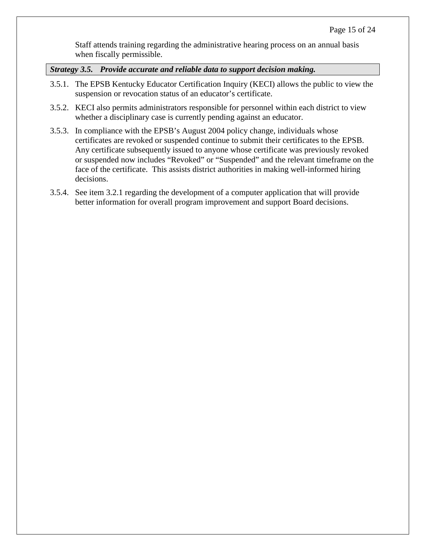Staff attends training regarding the administrative hearing process on an annual basis when fiscally permissible.

*Strategy 3.5. Provide accurate and reliable data to support decision making.*

- 3.5.1. The EPSB Kentucky Educator Certification Inquiry (KECI) allows the public to view the suspension or revocation status of an educator's certificate.
- 3.5.2. KECI also permits administrators responsible for personnel within each district to view whether a disciplinary case is currently pending against an educator.
- 3.5.3. In compliance with the EPSB's August 2004 policy change, individuals whose certificates are revoked or suspended continue to submit their certificates to the EPSB. Any certificate subsequently issued to anyone whose certificate was previously revoked or suspended now includes "Revoked" or "Suspended" and the relevant timeframe on the face of the certificate. This assists district authorities in making well-informed hiring decisions.
- 3.5.4. See item 3.2.1 regarding the development of a computer application that will provide better information for overall program improvement and support Board decisions.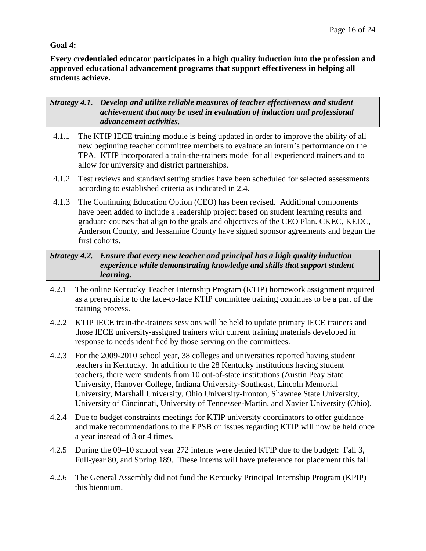# **Goal 4:**

**Every credentialed educator participates in a high quality induction into the profession and approved educational advancement programs that support effectiveness in helping all students achieve.**

*Strategy 4.1. Develop and utilize reliable measures of teacher effectiveness and student achievement that may be used in evaluation of induction and professional advancement activities.*

- 4.1.1 The KTIP IECE training module is being updated in order to improve the ability of all new beginning teacher committee members to evaluate an intern's performance on the TPA. KTIP incorporated a train-the-trainers model for all experienced trainers and to allow for university and district partnerships.
- 4.1.2 Test reviews and standard setting studies have been scheduled for selected assessments according to established criteria as indicated in 2.4.
- 4.1.3 The Continuing Education Option (CEO) has been revised. Additional components have been added to include a leadership project based on student learning results and graduate courses that align to the goals and objectives of the CEO Plan. CKEC, KEDC, Anderson County, and Jessamine County have signed sponsor agreements and begun the first cohorts.

## *Strategy 4.2. Ensure that every new teacher and principal has a high quality induction experience while demonstrating knowledge and skills that support student learning.*

- 4.2.1 The online Kentucky Teacher Internship Program (KTIP) homework assignment required as a prerequisite to the face-to-face KTIP committee training continues to be a part of the training process.
- 4.2.2 KTIP IECE train-the-trainers sessions will be held to update primary IECE trainers and those IECE university-assigned trainers with current training materials developed in response to needs identified by those serving on the committees.
- 4.2.3 For the 2009-2010 school year, 38 colleges and universities reported having student teachers in Kentucky. In addition to the 28 Kentucky institutions having student teachers, there were students from 10 out-of-state institutions (Austin Peay State University, Hanover College, Indiana University-Southeast, Lincoln Memorial University, Marshall University, Ohio University-Ironton, Shawnee State University, University of Cincinnati, University of Tennessee-Martin, and Xavier University (Ohio).
- 4.2.4 Due to budget constraints meetings for KTIP university coordinators to offer guidance and make recommendations to the EPSB on issues regarding KTIP will now be held once a year instead of 3 or 4 times.
- 4.2.5 During the 09–10 school year 272 interns were denied KTIP due to the budget: Fall 3, Full-year 80, and Spring 189. These interns will have preference for placement this fall.
- 4.2.6 The General Assembly did not fund the Kentucky Principal Internship Program (KPIP) this biennium.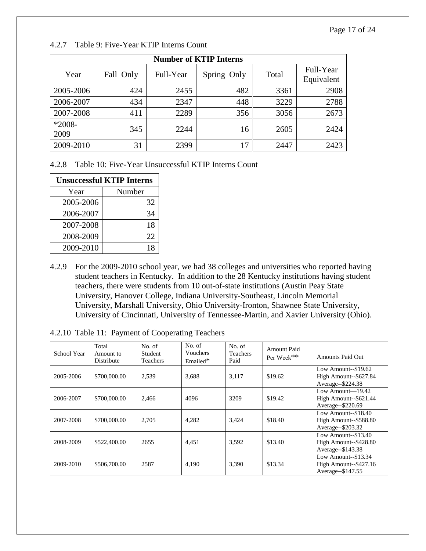| <b>Number of KTIP Interns</b> |           |           |             |       |                         |  |
|-------------------------------|-----------|-----------|-------------|-------|-------------------------|--|
| Year                          | Fall Only | Full-Year | Spring Only | Total | Full-Year<br>Equivalent |  |
|                               |           |           |             |       |                         |  |
| 2005-2006                     | 424       | 2455      | 482         | 3361  | 2908                    |  |
| 2006-2007                     | 434       | 2347      | 448         | 3229  | 2788                    |  |
| 2007-2008                     | 411       | 2289      | 356         | 3056  | 2673                    |  |
| $*2008-$                      |           |           |             |       |                         |  |
| 2009                          | 345       | 2244      | 16          | 2605  | 2424                    |  |
| 2009-2010                     | 31        | 2399      | 17          | 2447  | 2423                    |  |

4.2.7 Table 9: Five-Year KTIP Interns Count

4.2.8 Table 10: Five-Year Unsuccessful KTIP Interns Count

| <b>Unsuccessful KTIP Interns</b> |    |  |  |  |
|----------------------------------|----|--|--|--|
| Number<br>Year                   |    |  |  |  |
| 2005-2006                        | 32 |  |  |  |
| 2006-2007                        | 34 |  |  |  |
| 2007-2008                        | 18 |  |  |  |
| 2008-2009                        | 22 |  |  |  |
| 2009-2010                        | 18 |  |  |  |

4.2.9 For the 2009-2010 school year, we had 38 colleges and universities who reported having student teachers in Kentucky. In addition to the 28 Kentucky institutions having student teachers, there were students from 10 out-of-state institutions (Austin Peay State University, Hanover College, Indiana University-Southeast, Lincoln Memorial University, Marshall University, Ohio University-Ironton, Shawnee State University, University of Cincinnati, University of Tennessee-Martin, and Xavier University (Ohio).

|  |  | 4.2.10 Table 11: Payment of Cooperating Teachers |  |  |  |
|--|--|--------------------------------------------------|--|--|--|
|--|--|--------------------------------------------------|--|--|--|

| School Year | Total<br>Amount to<br>Distribute | No. of<br>Student<br>Teachers | No. of<br>Vouchers<br>Emailed* | No. of<br><b>Teachers</b><br>Paid | Amount Paid<br>Per Week** | <b>Amounts Paid Out</b>                                               |
|-------------|----------------------------------|-------------------------------|--------------------------------|-----------------------------------|---------------------------|-----------------------------------------------------------------------|
| 2005-2006   | \$700,000.00                     | 2,539                         | 3,688                          | 3,117                             | \$19.62                   | Low Amount- $-$ \$19.62<br>High Amount--\$627.84<br>Average--\$224.38 |
| 2006-2007   | \$700,000.00                     | 2.466                         | 4096                           | 3209                              | \$19.42                   | Low Amount- $19.42$<br>High Amount--\$621.44<br>Average--\$220.69     |
| 2007-2008   | \$700,000.00                     | 2,705                         | 4,282                          | 3,424                             | \$18.40                   | Low Amount- $-$ \$18.40<br>High Amount--\$588.80<br>Average--\$203.32 |
| 2008-2009   | \$522,400.00                     | 2655                          | 4,451                          | 3,592                             | \$13.40                   | Low Amount- $-$ \$13.40<br>High Amount--\$428.80<br>Average--\$143.38 |
| 2009-2010   | \$506,700.00                     | 2587                          | 4,190                          | 3,390                             | \$13.34                   | Low Amount--\$13.34<br>High Amount--\$427.16<br>Average--\$147.55     |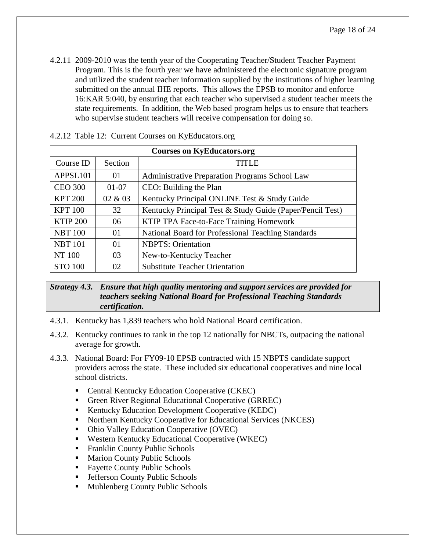4.2.11 2009-2010 was the tenth year of the Cooperating Teacher/Student Teacher Payment Program. This is the fourth year we have administered the electronic signature program and utilized the student teacher information supplied by the institutions of higher learning submitted on the annual IHE reports. This allows the EPSB to monitor and enforce 16:KAR 5:040, by ensuring that each teacher who supervised a student teacher meets the state requirements. In addition, the Web based program helps us to ensure that teachers who supervise student teachers will receive compensation for doing so.

| <b>Courses on KyEducators.org</b> |         |                                                           |  |
|-----------------------------------|---------|-----------------------------------------------------------|--|
| Course ID                         | Section | <b>TITLE</b>                                              |  |
| APPSL101                          | 01      | Administrative Preparation Programs School Law            |  |
| <b>CEO 300</b>                    | $01-07$ | CEO: Building the Plan                                    |  |
| <b>KPT 200</b>                    | 02 & 03 | Kentucky Principal ONLINE Test & Study Guide              |  |
| <b>KPT 100</b>                    | 32      | Kentucky Principal Test & Study Guide (Paper/Pencil Test) |  |
| <b>KTIP 200</b>                   | 06      | KTIP TPA Face-to-Face Training Homework                   |  |
| <b>NBT 100</b>                    | 01      | National Board for Professional Teaching Standards        |  |
| <b>NBT 101</b>                    | 01      | <b>NBPTS:</b> Orientation                                 |  |
| NT 100                            | 03      | New-to-Kentucky Teacher                                   |  |
| <b>STO 100</b>                    | 02      | <b>Substitute Teacher Orientation</b>                     |  |

|  |  | 4.2.12 Table 12: Current Courses on KyEducators.org |
|--|--|-----------------------------------------------------|
|--|--|-----------------------------------------------------|

#### *Strategy 4.3. Ensure that high quality mentoring and support services are provided for teachers seeking National Board for Professional Teaching Standards certification.*

- 4.3.1. Kentucky has 1,839 teachers who hold National Board certification.
- 4.3.2. Kentucky continues to rank in the top 12 nationally for NBCTs, outpacing the national average for growth.
- 4.3.3. National Board: For FY09-10 EPSB contracted with 15 NBPTS candidate support providers across the state. These included six educational cooperatives and nine local school districts.
	- Central Kentucky Education Cooperative (CKEC)
	- Green River Regional Educational Cooperative (GRREC)
	- Kentucky Education Development Cooperative (KEDC)
	- Northern Kentucky Cooperative for Educational Services (NKCES)
	- Ohio Valley Education Cooperative (OVEC)
	- Western Kentucky Educational Cooperative (WKEC)
	- Franklin County Public Schools
	- **Marion County Public Schools**
	- Favette County Public Schools
	- **Jefferson County Public Schools**
	- **Muhlenberg County Public Schools**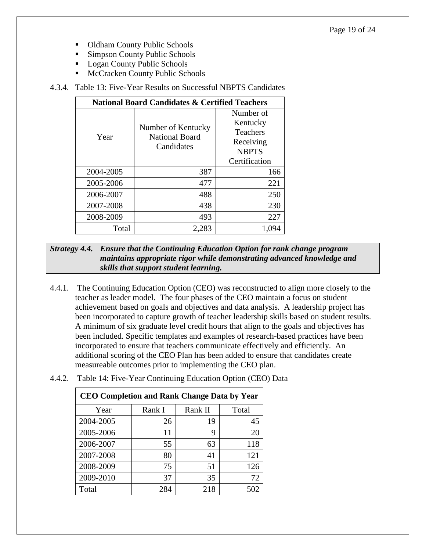- Oldham County Public Schools
- **Simpson County Public Schools**
- **Logan County Public Schools**
- **McCracken County Public Schools**

#### 4.3.4. Table 13: Five-Year Results on Successful NBPTS Candidates

| <b>National Board Candidates &amp; Certified Teachers</b> |                                                           |                                                                                        |  |  |  |
|-----------------------------------------------------------|-----------------------------------------------------------|----------------------------------------------------------------------------------------|--|--|--|
| Year                                                      | Number of Kentucky<br><b>National Board</b><br>Candidates | Number of<br>Kentucky<br><b>Teachers</b><br>Receiving<br><b>NBPTS</b><br>Certification |  |  |  |
| 2004-2005                                                 | 387                                                       | 166                                                                                    |  |  |  |
| 2005-2006                                                 | 477                                                       | 221                                                                                    |  |  |  |
| 2006-2007                                                 | 488                                                       | 250                                                                                    |  |  |  |
| 2007-2008                                                 | 438                                                       | 230                                                                                    |  |  |  |
| 2008-2009                                                 | 493                                                       | 227                                                                                    |  |  |  |
| Total                                                     | 2.283                                                     |                                                                                        |  |  |  |

*Strategy 4.4. Ensure that the Continuing Education Option for rank change program maintains appropriate rigor while demonstrating advanced knowledge and skills that support student learning.*

4.4.1. The Continuing Education Option (CEO) was reconstructed to align more closely to the teacher as leader model. The four phases of the CEO maintain a focus on student achievement based on goals and objectives and data analysis. A leadership project has been incorporated to capture growth of teacher leadership skills based on student results. A minimum of six graduate level credit hours that align to the goals and objectives has been included. Specific templates and examples of research-based practices have been incorporated to ensure that teachers communicate effectively and efficiently. An additional scoring of the CEO Plan has been added to ensure that candidates create measureable outcomes prior to implementing the CEO plan.

| 4.4.2. Table 14: Five-Year Continuing Education Option (CEO) Data |  |
|-------------------------------------------------------------------|--|
|-------------------------------------------------------------------|--|

| <b>CEO Completion and Rank Change Data by Year</b> |        |         |       |  |  |
|----------------------------------------------------|--------|---------|-------|--|--|
| Year                                               | Rank I | Rank II | Total |  |  |
| 2004-2005                                          | 26     | 19      | 45    |  |  |
| 2005-2006                                          | 11     | 9       | 20    |  |  |
| 2006-2007                                          | 55     | 63      | 118   |  |  |
| 2007-2008                                          | 80     | 41      | 121   |  |  |
| 2008-2009                                          | 75     | 51      | 126   |  |  |
| 2009-2010                                          | 37     | 35      | 72    |  |  |
| Total                                              | 284    | 218     | 502   |  |  |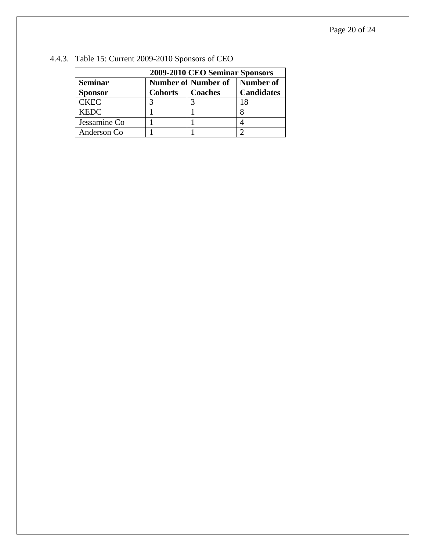| 2009-2010 CEO Seminar Sponsors |                |                            |                   |  |
|--------------------------------|----------------|----------------------------|-------------------|--|
| <b>Seminar</b>                 |                | <b>Number of Number of</b> | Number of         |  |
| Sponsor                        | <b>Cohorts</b> | <b>Coaches</b>             | <b>Candidates</b> |  |
| <b>CKEC</b>                    |                |                            | l X               |  |
| <b>KEDC</b>                    |                |                            |                   |  |
| Jessamine Co                   |                |                            |                   |  |
| Anderson Co                    |                |                            |                   |  |

# 4.4.3. Table 15: Current 2009-2010 Sponsors of CEO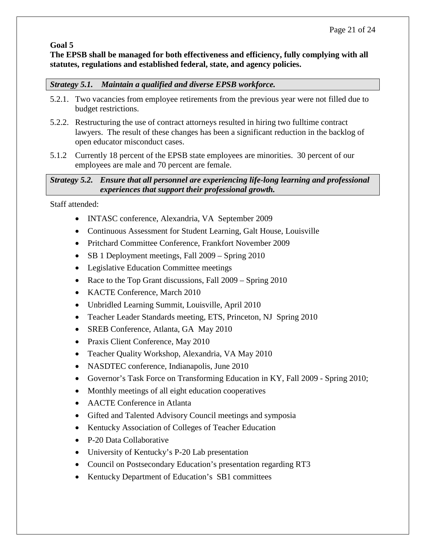#### **Goal 5**

**The EPSB shall be managed for both effectiveness and efficiency, fully complying with all statutes, regulations and established federal, state, and agency policies.** 

#### *Strategy 5.1. Maintain a qualified and diverse EPSB workforce.*

- 5.2.1. Two vacancies from employee retirements from the previous year were not filled due to budget restrictions.
- 5.2.2. Restructuring the use of contract attorneys resulted in hiring two fulltime contract lawyers. The result of these changes has been a significant reduction in the backlog of open educator misconduct cases.
- 5.1.2 Currently 18 percent of the EPSB state employees are minorities. 30 percent of our employees are male and 70 percent are female.

# *Strategy 5.2. Ensure that all personnel are experiencing life-long learning and professional experiences that support their professional growth.*

Staff attended:

- INTASC conference, Alexandria, VA September 2009
- Continuous Assessment for Student Learning, Galt House, Louisville
- Pritchard Committee Conference, Frankfort November 2009
- SB 1 Deployment meetings, Fall 2009 Spring 2010
- Legislative Education Committee meetings
- Race to the Top Grant discussions, Fall 2009 Spring 2010
- KACTE Conference, March 2010
- Unbridled Learning Summit, Louisville, April 2010
- Teacher Leader Standards meeting, ETS, Princeton, NJ Spring 2010
- SREB Conference, Atlanta, GA May 2010
- Praxis Client Conference, May 2010
- Teacher Quality Workshop, Alexandria, VA May 2010
- NASDTEC conference, Indianapolis, June 2010
- Governor's Task Force on Transforming Education in KY, Fall 2009 Spring 2010;
- Monthly meetings of all eight education cooperatives
- AACTE Conference in Atlanta
- Gifted and Talented Advisory Council meetings and symposia
- Kentucky Association of Colleges of Teacher Education
- P-20 Data Collaborative
- University of Kentucky's P-20 Lab presentation
- Council on Postsecondary Education's presentation regarding RT3
- Kentucky Department of Education's SB1 committees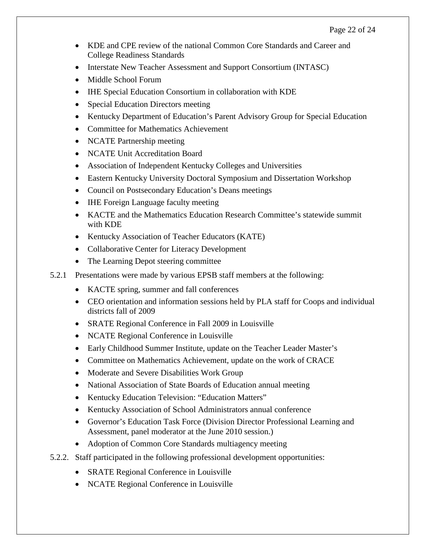- KDE and CPE review of the national Common Core Standards and Career and College Readiness Standards
- Interstate New Teacher Assessment and Support Consortium (INTASC)
- Middle School Forum
- IHE Special Education Consortium in collaboration with KDE
- Special Education Directors meeting
- Kentucky Department of Education's Parent Advisory Group for Special Education
- Committee for Mathematics Achievement
- NCATE Partnership meeting
- NCATE Unit Accreditation Board
- Association of Independent Kentucky Colleges and Universities
- Eastern Kentucky University Doctoral Symposium and Dissertation Workshop
- Council on Postsecondary Education's Deans meetings
- IHE Foreign Language faculty meeting
- KACTE and the Mathematics Education Research Committee's statewide summit with KDE
- Kentucky Association of Teacher Educators (KATE)
- Collaborative Center for Literacy Development
- The Learning Depot steering committee
- 5.2.1 Presentations were made by various EPSB staff members at the following:
	- KACTE spring, summer and fall conferences
	- CEO orientation and information sessions held by PLA staff for Coops and individual districts fall of 2009
	- SRATE Regional Conference in Fall 2009 in Louisville
	- NCATE Regional Conference in Louisville
	- Early Childhood Summer Institute, update on the Teacher Leader Master's
	- Committee on Mathematics Achievement, update on the work of CRACE
	- Moderate and Severe Disabilities Work Group
	- National Association of State Boards of Education annual meeting
	- Kentucky Education Television: "Education Matters"
	- Kentucky Association of School Administrators annual conference
	- Governor's Education Task Force (Division Director Professional Learning and Assessment, panel moderator at the June 2010 session.)
	- Adoption of Common Core Standards multiagency meeting
- 5.2.2. Staff participated in the following professional development opportunities:
	- SRATE Regional Conference in Louisville
	- NCATE Regional Conference in Louisville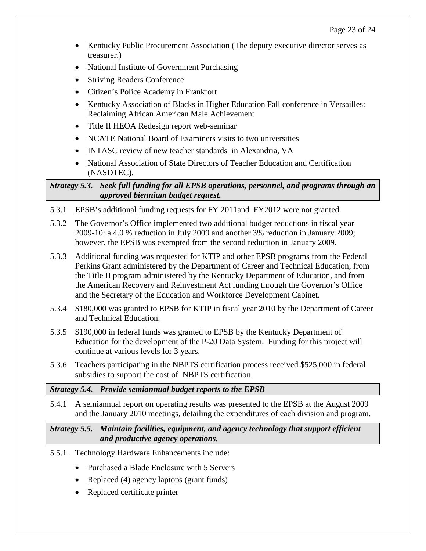- Kentucky Public Procurement Association (The deputy executive director serves as treasurer.)
- National Institute of Government Purchasing
- Striving Readers Conference
- Citizen's Police Academy in Frankfort
- Kentucky Association of Blacks in Higher Education Fall conference in Versailles: Reclaiming African American Male Achievement
- Title II HEOA Redesign report web-seminar
- NCATE National Board of Examiners visits to two universities
- INTASC review of new teacher standards in Alexandria, VA
- National Association of State Directors of Teacher Education and Certification (NASDTEC).

#### *Strategy 5.3. Seek full funding for all EPSB operations, personnel, and programs through an approved biennium budget request.*

- 5.3.1 EPSB's additional funding requests for FY 2011and FY2012 were not granted.
- 5.3.2 The Governor's Office implemented two additional budget reductions in fiscal year 2009-10: a 4.0 % reduction in July 2009 and another 3% reduction in January 2009; however, the EPSB was exempted from the second reduction in January 2009.
- 5.3.3 Additional funding was requested for KTIP and other EPSB programs from the Federal Perkins Grant administered by the Department of Career and Technical Education, from the Title II program administered by the Kentucky Department of Education, and from the American Recovery and Reinvestment Act funding through the Governor's Office and the Secretary of the Education and Workforce Development Cabinet.
- 5.3.4 \$180,000 was granted to EPSB for KTIP in fiscal year 2010 by the Department of Career and Technical Education.
- 5.3.5 \$190,000 in federal funds was granted to EPSB by the Kentucky Department of Education for the development of the P-20 Data System. Funding for this project will continue at various levels for 3 years.
- 5.3.6 Teachers participating in the NBPTS certification process received \$525,000 in federal subsidies to support the cost of NBPTS certification

# *Strategy 5.4. Provide semiannual budget reports to the EPSB*

5.4.1 A semiannual report on operating results was presented to the EPSB at the August 2009 and the January 2010 meetings, detailing the expenditures of each division and program.

*Strategy 5.5. Maintain facilities, equipment, and agency technology that support efficient and productive agency operations.*

- 5.5.1. Technology Hardware Enhancements include:
	- Purchased a Blade Enclosure with 5 Servers
	- Replaced (4) agency laptops (grant funds)
	- Replaced certificate printer